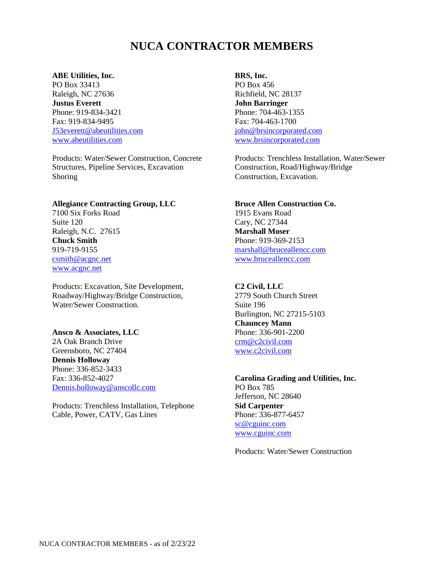# **NUCA CONTRACTOR MEMBERS**

#### **ABE Utilities, Inc.**

PO Box 33413 Raleigh, NC 27636 **Justus Everett** Phone: 919-834-3421 Fax: 919-834-9495 [J53everett@abeutilities.com](mailto:J53everett@abeutilities.com) [www.abeutilities.com](http://www.abeutilities.com/)

Products: Water/Sewer Construction, Concrete Structures, Pipeline Services, Excavation Shoring

#### **Allegiance Contracting Group, LLC**

7100 Six Forks Road Suite 120 Raleigh, N.C. 27615 **Chuck Smith** 919-719-9155 [csmith@acgnc.net](mailto:csmith@acgnc.net) [www.acgnc.net](http://www.acgnc.net/)

Products: Excavation, Site Development, Roadway/Highway/Bridge Construction, Water/Sewer Construction.

#### **Ansco & Associates, LLC**

2A Oak Branch Drive Greensboro, NC 27404 **Dennis Holloway** Phone: 336-852-3433 Fax: 336-852-4027 [Dennis.holloway@anscollc.com](mailto:Dennis.holloway@anscollc.com)

Products: Trenchless Installation, Telephone Cable, Power, CATV, Gas Lines

**BRS, Inc.** PO Box 456 Richfield, NC 28137 **John Barringer** Phone: 704-463-1355 Fax: 704-463-1700 [john@brsincorporated.com](mailto:john@brsincorporated.com) [www.brsincorporated.com](http://www.brsincorporated.com/)

Products: Trenchless Installation, Water/Sewer Construction, Road/Highway/Bridge Construction, Excavation.

#### **Bruce Allen Construction Co.**

1915 Evans Road Cary, NC 27344 **Marshall Moser** Phone: 919-369-2153 [marshall@bruceallencc.com](mailto:marshall@bruceallencc.com) [www.bruceallencc.com](http://www.bruceallencc.com/)

#### **C2 Civil, LLC**

2779 South Church Street Suite 196 Burlington, NC 27215-5103 **Chauncey Mann** Phone: 336-901-2200 [crm@c2civil.com](mailto:crm@c2civil.com) [www.c2civil.com](http://www.c2civil.com/)

**Carolina Grading and Utilities, Inc.** PO Box 785 Jefferson, NC 28640 **Sid Carpenter** Phone: 336-877-6457 [sc@cguinc.com](mailto:sc@cguinc.com) [www.cguinc.com](http://www.cguinc.com/) 

Products: Water/Sewer Construction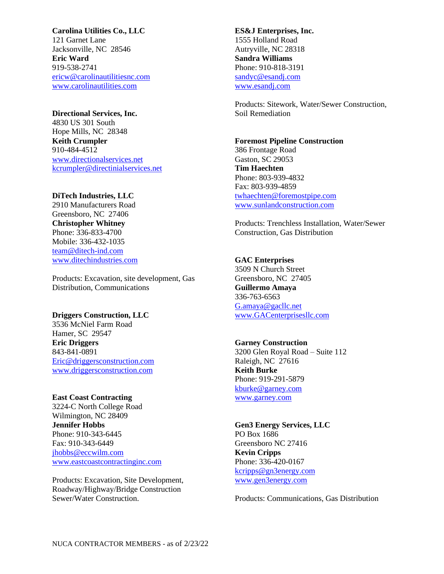## **Carolina Utilities Co., LLC** 121 Garnet Lane Jacksonville, NC 28546 **Eric Ward** 919-538-2741 [ericw@carolinautilitiesnc.com](mailto:ericw@carolinautilitiesnc.com) [www.carolinautilities.com](http://www.carolinautilities.com/)

#### **Directional Services, Inc.**

4830 US 301 South Hope Mills, NC 28348 **Keith Crumpler** 910-484-4512 [www.directionalservices.net](http://www.directionalservices.net/) [kcrumpler@directinialservices.net](mailto:kcrumpler@directinialservices.net)

## **DiTech Industries, LLC**

2910 Manufacturers Road Greensboro, NC 27406 **Christopher Whitney** Phone: 336-833-4700 Mobile: 336-432-1035 [team@ditech-ind.com](mailto:team@ditech-ind.com) [www.ditechindustries.com](http://www.ditechindustries.com/)

Products: Excavation, site development, Gas Distribution, Communications

#### **Driggers Construction, LLC**

3536 McNiel Farm Road Hamer, SC 29547 **Eric Driggers** 843-841-0891 [Eric@driggersconstruction.com](mailto:Eric@driggersconstruction.com)  [www.driggersconstruction.com](http://www.driggersconstruction.com/)

**East Coast Contracting** 3224-C North College Road Wilmington, NC 28409 **Jennifer Hobbs** Phone: 910-343-6445 Fax: 910-343-6449 [jhobbs@eccwilm.com](mailto:jhobbs@eccwilm.com) [www.eastcoastcontractinginc.com](http://www.eastcoastcontractinginc.com/)

Products: Excavation, Site Development, Roadway/Highway/Bridge Construction Sewer/Water Construction.

**ES&J Enterprises, Inc.** 1555 Holland Road Autryville, NC 28318 **Sandra Williams** Phone: 910-818-3191 [sandyc@esandj.com](mailto:sandyc@esandj.com) [www.esandj.com](http://www.esandj.com/)

Products: Sitework, Water/Sewer Construction, Soil Remediation

#### **Foremost Pipeline Construction**

386 Frontage Road Gaston, SC 29053 **Tim Haechten** Phone: 803-939-4832 Fax: 803-939-4859 [twhaechten@foremostpipe.com](mailto:twhaechten@foremostpipe.com) [www.sunlandconstruction.com](http://www.sunlandconstruction.com/)

Products: Trenchless Installation, Water/Sewer Construction, Gas Distribution

## **GAC Enterprises**

3509 N Church Street Greensboro, NC 27405 **Guillermo Amaya** 336-763-6563 [G.amaya@gacllc.net](mailto:G.amaya@gacllc.net) [www.GACenterprisesllc.com](http://www.gacenterprisesllc.com/)

#### **Garney Construction**

3200 Glen Royal Road – Suite 112 Raleigh, NC 27616 **Keith Burke** Phone: 919-291-5879 [kburke@garney.com](mailto:kburke@garney.com) [www.garney.com](http://www.garney.com/)

## **Gen3 Energy Services, LLC** PO Box 1686 Greensboro NC 27416 **Kevin Cripps**

Phone: 336-420-0167 [kcripps@gn3energy.com](mailto:kcripps@gn3energy.com) [www.gen3energy.com](http://www.gen3energy.com/)

Products: Communications, Gas Distribution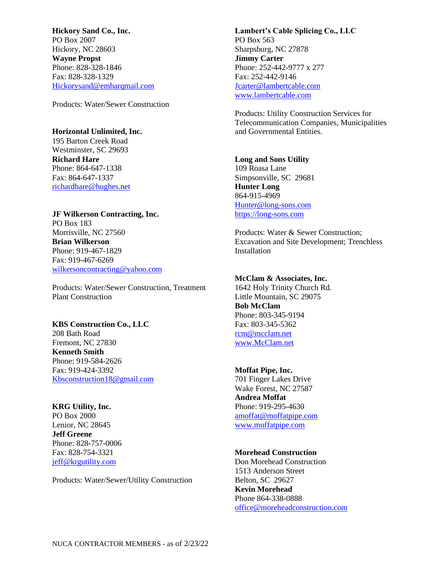**Hickory Sand Co., Inc.** PO Box 2007 Hickory, NC 28603 **Wayne Propst** Phone: 828-328-1846 Fax: 828-328-1329 [Hickorysand@embarqmail.com](mailto:Hickorysand@embarqmail.com)

Products: Water/Sewer Construction

## **Horizontal Unlimited, Inc.**

195 Barton Creek Road Westminster, SC 29693 **Richard Hare** Phone: 864-647-1338 Fax: 864-647-1337 [richardhare@hughes.net](mailto:richardhare@hughes.net)

# **JF Wilkerson Contracting, Inc.**

PO Box 183 Morrisville, NC 27560 **Brian Wilkerson** Phone: 919-467-1829 Fax: 919-467-6269 [wilkersoncontracting@yahoo.com](mailto:wilkersoncontracting@yahoo.com)

Products: Water/Sewer Construction, Treatment Plant Construction

#### **KBS Construction Co., LLC**

208 Bath Road Fremont, NC 27830 **Kenneth Smith** Phone: 919-584-2626 Fax: 919-424-3392 [Kbsconstruction18@gmail.com](mailto:Kbsconstruction18@gmail.com)

**KRG Utility, Inc.** PO Box 2000 Lenior, NC 28645 **Jeff Greene** Phone: 828-757-0006 Fax: 828-754-3321 [jeff@krgutility.com](mailto:jeff@krgutility.com)

Products: Water/Sewer/Utility Construction

**Lambert's Cable Splicing Co., LLC** PO Box 563 Sharpsburg, NC 27878 **Jimmy Carter** Phone: 252-442-9777 x 277 Fax: 252-442-9146 [Jcarter@lambertcable.com](mailto:Jcarter@lambertcable.com) [www.lambertcable.com](http://www.lambertcable.com/)

Products: Utility Construction Services for Telecommunication Companies, Municipalities and Governmental Entities.

## **Long and Sons Utility** 109 Roasa Lane

Simpsonville, SC 29681 **Hunter Long** 864-915-4969 [Hunter@long-sons.com](mailto:Hunter@long-sons.com) [https://long-sons.com](https://long-sons.com/)

Products: Water & Sewer Construction; Excavation and Site Development; Trenchless Installation

#### **McClam & Associates, Inc.**

1642 Holy Trinity Church Rd. Little Mountain, SC 29075 **Bob McClam** Phone: 803-345-9194 Fax: 803-345-5362 [rcm@mcclam.net](mailto:rcm@mcclam.net) [www.McClam.net](http://www.mcclam.net/)

## **Moffat Pipe, Inc.** 701 Finger Lakes Drive Wake Forest, NC 27587 **Andrea Moffat** Phone: 919-295-4630 [amoffat@moffatpipe.com](mailto:amoffat@moffatpipe.com) [www.moffatpipe.com](http://www.moffatpipe.com/)

## **Morehead Construction**

Don Morehead Construction 1513 Anderson Street Belton, SC 29627 **Kevin Morehead** Phone 864-338-0888 [office@moreheadconstruction.com](mailto:office@moreheadconstruction.com)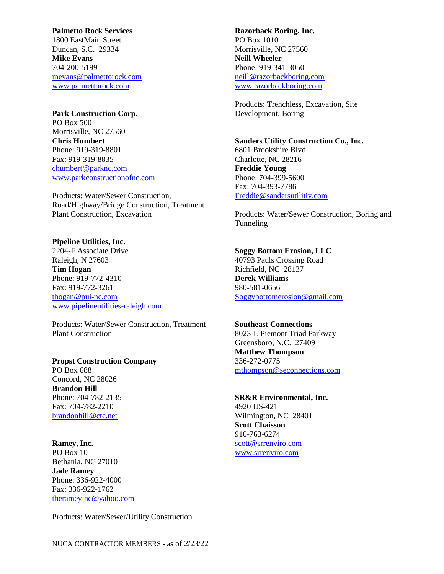#### **Palmetto Rock Services**

1800 EastMain Street Duncan, S.C. 29334 **Mike Evans** 704-200-5199 [mevans@palmettorock.com](mailto:mevans@palmettorock.com) [www.palmettorock.com](http://www.palmettorock.com/)

## **Park Construction Corp.**

PO Box 500 Morrisville, NC 27560 **Chris Humbert** Phone: 919-319-8801 Fax: 919-319-8835 [chumbert@parknc.com](mailto:chumbert@parknc.com) [www.parkconstructionofnc.com](http://www.parkconstructionofnc.com/)

Products: Water/Sewer Construction, Road/Highway/Bridge Construction, Treatment Plant Construction, Excavation

#### **Pipeline Utilities, Inc.**

2204-F Associate Drive Raleigh, N 27603 **Tim Hogan** Phone: 919-772-4310 Fax: 919-772-3261 [thogan@pui-nc.com](mailto:thogan@pui-nc.com) [www.pipelineutilities-raleigh.com](http://www.pipelineutilities-raleigh.com/)

Products: Water/Sewer Construction, Treatment Plant Construction

## **Propst Construction Company** PO Box 688 Concord, NC 28026 **Brandon Hill** Phone: 704-782-2135 Fax: 704-782-2210 [brandonhill@ctc.net](mailto:brandonhill@ctc.net)

#### **Ramey, Inc.**

PO Box 10 Bethania, NC 27010 **Jade Ramey** Phone: 336-922-4000 Fax: 336-922-1762 [therameyinc@yahoo.com](mailto:therameyinc@yahoo.com)

Products: Water/Sewer/Utility Construction

**Razorback Boring, Inc.** PO Box 1010 Morrisville, NC 27560 **Neill Wheeler** Phone: 919-341-3050 [neill@razorbackboring.com](mailto:neill@razorbackboring.com) [www.razorbackboring.com](http://www.razorbackboring.com/)

Products: Trenchless, Excavation, Site Development, Boring

## **Sanders Utility Construction Co., Inc.**

6801 Brookshire Blvd. Charlotte, NC 28216 **Freddie Young** Phone: 704-399-5600 Fax: 704-393-7786 [Freddie@sandersutilitiy.com](mailto:Freddie@sandersutilitiy.com)

Products: Water/Sewer Construction, Boring and Tunneling

#### **Soggy Bottom Erosion, LLC**

40793 Pauls Crossing Road Richfield, NC 28137 **Derek Williams** 980-581-0656 [Soggybottomerosion@gmail.com](mailto:Soggybottomerosion@gmail.com)

## **Southeast Connections**

8023-L Piemont Triad Parkway Greensboro, N.C. 27409 **Matthew Thompson** 336-272-0775 [mthompson@seconnections.com](mailto:mthompson@seconnections.com)

#### **SR&R Environmental, Inc.**

4920 US-421 Wilmington, NC 28401 **Scott Chaisson** 910-763-6274 [scott@srrenviro.com](mailto:scott@srrenviro.com) [www.srrenviro.com](http://www.srrenviro.com/)